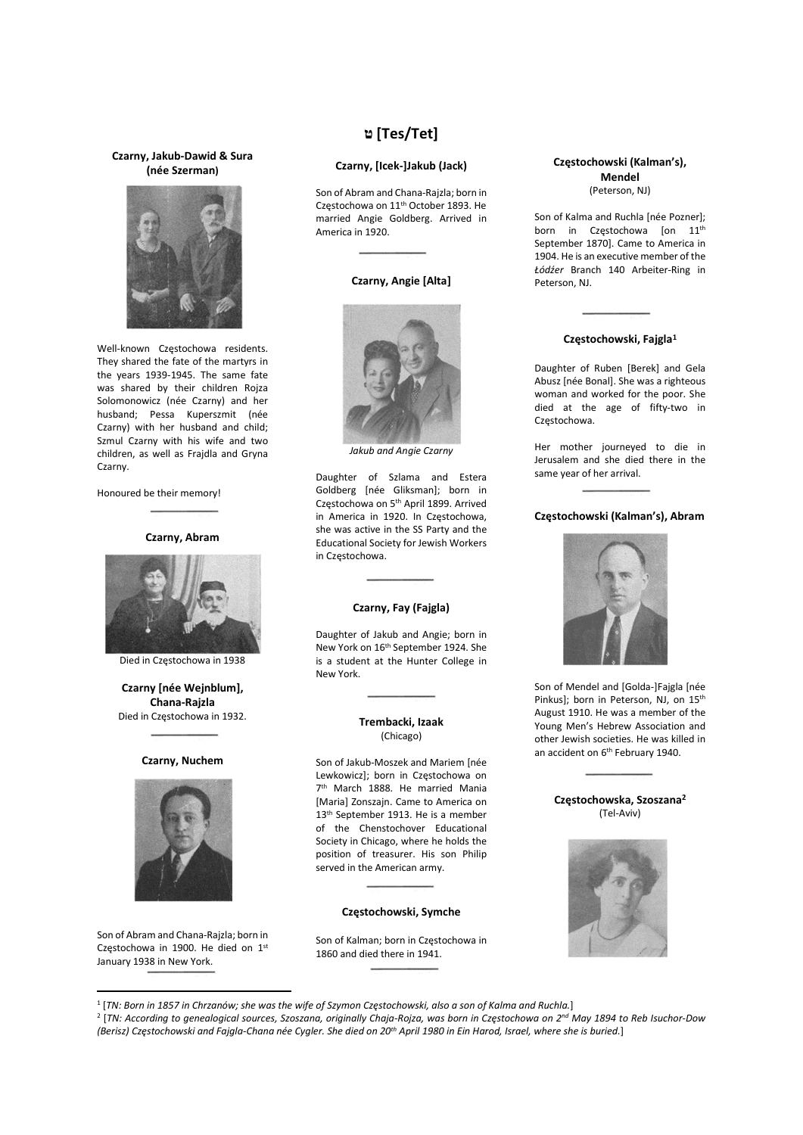## Czarny, Jakub-Dawid & Sura (née Szerman)



Well-known Częstochowa residents. They shared the fate of the martyrs in the years 1939-1945. The same fate was shared by their children Rojza Solomonowicz (née Czarny) and her husband; Pessa Kuperszmit (née Czarny) with her husband and child; Szmul Czarny with his wife and two children, as well as Frajdla and Gryna Czarny.

Honoured be their memory!

## Czarny, Abram



Died in Częstochowa in 1938

Czarny [née Wejnblum], Chana-Rajzla Died in Częstochowa in 1932.

## Czarny, Nuchem



Son of Abram and Chana-Rajzla; born in Częstochowa in 1900. He died on 1st January 1938 in New York.

# ט] Tes/Tet]

## Czarny, [Icek-]Jakub (Jack)

Son of Abram and Chana-Rajzla; born in Częstochowa on 11th October 1893. He married Angie Goldberg. Arrived in America in 1920.

#### Czarny, Angie [Alta]



Jakub and Angie Czarny

Daughter of Szlama and Estera Goldberg [née Gliksman]; born in Częstochowa on 5th April 1899. Arrived in America in 1920. In Częstochowa, she was active in the SS Party and the Educational Society for Jewish Workers in Częstochowa.

#### Czarny, Fay (Fajgla)

Daughter of Jakub and Angie; born in New York on 16th September 1924. She is a student at the Hunter College in New York.

## Trembacki, Izaak (Chicago)

Son of Jakub-Moszek and Mariem [née Lewkowicz]; born in Częstochowa on 7<sup>th</sup> March 1888. He married Mania [Maria] Zonszajn. Came to America on 13<sup>th</sup> September 1913. He is a member of the Chenstochover Educational Society in Chicago, where he holds the position of treasurer. His son Philip served in the American army.

### Częstochowski, Symche

Son of Kalman; born in Częstochowa in 1860 and died there in 1941.

## Częstochowski (Kalman's), Mendel (Peterson, NJ)

Son of Kalma and Ruchla [née Pozner]; born in Częstochowa [on 11<sup>th</sup> September 1870]. Came to America in 1904. He is an executive member of the Łódźer Branch 140 Arbeiter-Ring in Peterson, NJ.

## Częstochowski, Fajgla<sup>1</sup>

Daughter of Ruben [Berek] and Gela Abusz [née Bonal]. She was a righteous woman and worked for the poor. She died at the age of fifty-two in Częstochowa.

Her mother journeyed to die in Jerusalem and she died there in the same year of her arrival.

## Częstochowski (Kalman's), Abram



Son of Mendel and [Golda-]Fajgla [née Pinkus]; born in Peterson, NJ, on 15<sup>th</sup> August 1910. He was a member of the Young Men's Hebrew Association and other Jewish societies. He was killed in an accident on 6<sup>th</sup> February 1940.

## Częstochowska, Szoszana<sup>2</sup> (Tel-Aviv)



<sup>1</sup> [TN: Born in 1857 in Chrzanów; she was the wife of Szymon Częstochowski, also a son of Kalma and Ruchla.]

<sup>2</sup> [TN: According to genealogical sources, Szoszana, originally Chaja-Rojza, was born in Częstochowa on 2<sup>nd</sup> May 1894 to Reb Isuchor-Dow (Berisz) Częstochowski and Fajgla-Chana née Cygler. She died on 20<sup>th</sup> April 1980 in Ein Harod, Israel, where she is buried.]